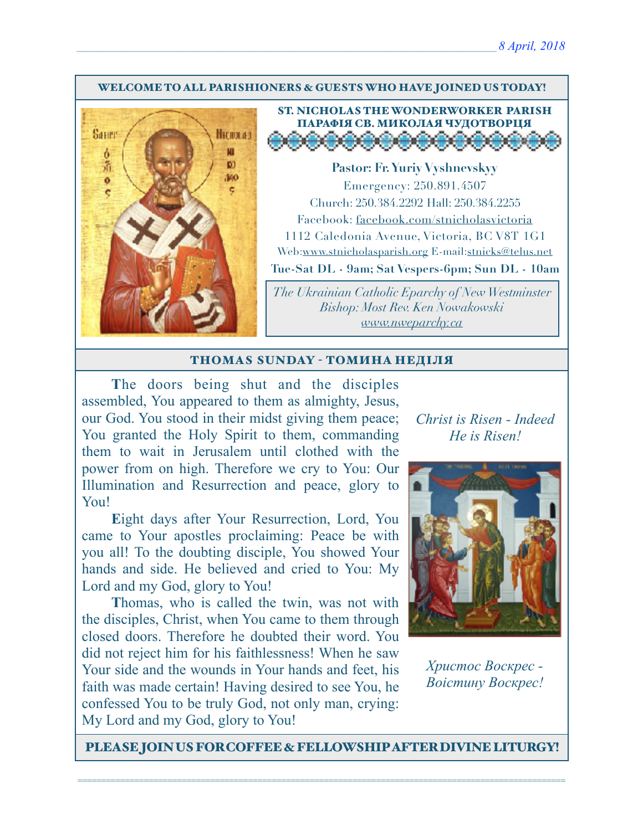#### WELCOME TO ALL PARISHIONERS & GUESTS WHO HAVE JOINED US TODAY!



## ST. NICHOLAS THE WONDERWORKER PARISH ПАРАФІЯ СВ. МИКОЛАЯ ЧУДОТВОРЦЯ

**Pastor: Fr. Yuriy Vyshnevskyy** Emergency: 250.891.4507 Church: 250.384.2292 Hall: 250.384.2255 Facebook: facebook.com/stnicholasvictoria 1112 Caledonia Avenue, Victoria, BC V8T 1G1 Web[:www.stnicholasparish.org](http://www.stnicholasparish.org) E-mail:[stnicks@telus.net](mailto:stnicks@telus.net) **Tue-Sat DL - 9am; Sat Vespers-6pm; Sun DL - 10am**

*The Ukrainian Catholic Eparchy of New Westminster Bishop: Most Rev. Ken Nowakowski [www.nweparchy.ca](http://www.nweparchy.ca)*

#### THOMAS SUNDAY - ТОМИНА НЕДІЛЯ

**T**he doors being shut and the disciples assembled, You appeared to them as almighty, Jesus, our God. You stood in their midst giving them peace; You granted the Holy Spirit to them, commanding them to wait in Jerusalem until clothed with the power from on high. Therefore we cry to You: Our Illumination and Resurrection and peace, glory to You!

**E**ight days after Your Resurrection, Lord, You came to Your apostles proclaiming: Peace be with you all! To the doubting disciple, You showed Your hands and side. He believed and cried to You: My Lord and my God, glory to You!

**T**homas, who is called the twin, was not with the disciples, Christ, when You came to them through closed doors. Therefore he doubted their word. You did not reject him for his faithlessness! When he saw Your side and the wounds in Your hands and feet, his faith was made certain! Having desired to see You, he confessed You to be truly God, not only man, crying: My Lord and my God, glory to You!

*Christ is Risen - Indeed He is Risen!* 



*Христос Воскрес - Воістину Воскрес!*

PLEASE JOIN US FOR COFFEE & FELLOWSHIP AFTER DIVINE LITURGY!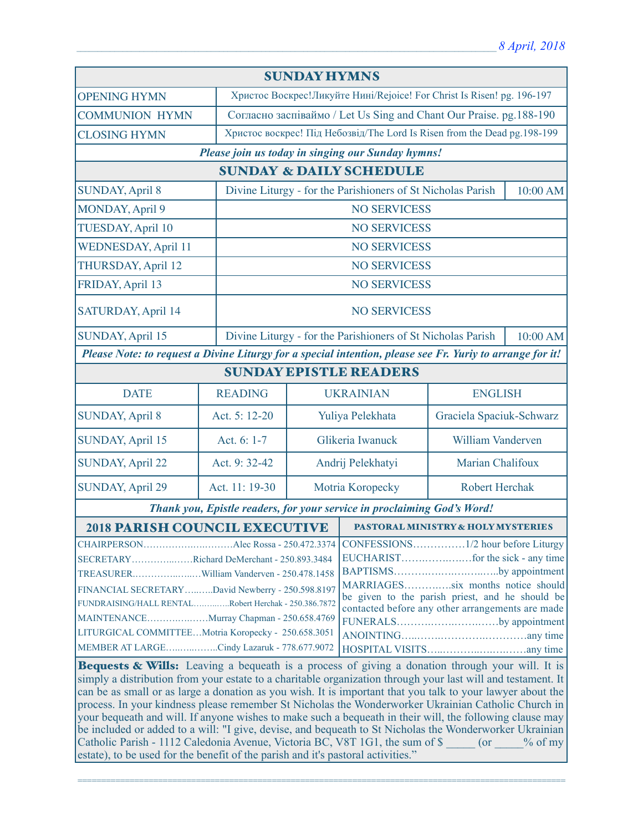| <b>SUNDAY HYMNS</b>                                                                                                                                                                                                                                                                                                                                   |                |                                                                          |                                                                                                                                                                                                                                    |                          |          |  |
|-------------------------------------------------------------------------------------------------------------------------------------------------------------------------------------------------------------------------------------------------------------------------------------------------------------------------------------------------------|----------------|--------------------------------------------------------------------------|------------------------------------------------------------------------------------------------------------------------------------------------------------------------------------------------------------------------------------|--------------------------|----------|--|
| <b>OPENING HYMN</b>                                                                                                                                                                                                                                                                                                                                   |                | Христос Воскрес!Ликуйте Нині/Rejoice! For Christ Is Risen! pg. 196-197   |                                                                                                                                                                                                                                    |                          |          |  |
| <b>COMMUNION HYMN</b>                                                                                                                                                                                                                                                                                                                                 |                | Согласно заспіваймо / Let Us Sing and Chant Our Praise. pg. 188-190      |                                                                                                                                                                                                                                    |                          |          |  |
| <b>CLOSING HYMN</b>                                                                                                                                                                                                                                                                                                                                   |                | Христос воскрес! Під Небозвід/The Lord Is Risen from the Dead pg.198-199 |                                                                                                                                                                                                                                    |                          |          |  |
| Please join us today in singing our Sunday hymns!                                                                                                                                                                                                                                                                                                     |                |                                                                          |                                                                                                                                                                                                                                    |                          |          |  |
| <b>SUNDAY &amp; DAILY SCHEDULE</b>                                                                                                                                                                                                                                                                                                                    |                |                                                                          |                                                                                                                                                                                                                                    |                          |          |  |
| <b>SUNDAY, April 8</b>                                                                                                                                                                                                                                                                                                                                |                |                                                                          | Divine Liturgy - for the Parishioners of St Nicholas Parish                                                                                                                                                                        |                          | 10:00 AM |  |
| MONDAY, April 9                                                                                                                                                                                                                                                                                                                                       |                |                                                                          | <b>NO SERVICESS</b>                                                                                                                                                                                                                |                          |          |  |
| <b>TUESDAY, April 10</b>                                                                                                                                                                                                                                                                                                                              |                | <b>NO SERVICESS</b>                                                      |                                                                                                                                                                                                                                    |                          |          |  |
| <b>WEDNESDAY, April 11</b>                                                                                                                                                                                                                                                                                                                            |                | <b>NO SERVICESS</b>                                                      |                                                                                                                                                                                                                                    |                          |          |  |
| THURSDAY, April 12                                                                                                                                                                                                                                                                                                                                    |                | <b>NO SERVICESS</b>                                                      |                                                                                                                                                                                                                                    |                          |          |  |
| FRIDAY, April 13                                                                                                                                                                                                                                                                                                                                      |                | <b>NO SERVICESS</b>                                                      |                                                                                                                                                                                                                                    |                          |          |  |
| SATURDAY, April 14                                                                                                                                                                                                                                                                                                                                    |                | <b>NO SERVICESS</b>                                                      |                                                                                                                                                                                                                                    |                          |          |  |
| SUNDAY, April 15                                                                                                                                                                                                                                                                                                                                      |                |                                                                          | Divine Liturgy - for the Parishioners of St Nicholas Parish<br>10:00 AM                                                                                                                                                            |                          |          |  |
| Please Note: to request a Divine Liturgy for a special intention, please see Fr. Yuriy to arrange for it!                                                                                                                                                                                                                                             |                |                                                                          |                                                                                                                                                                                                                                    |                          |          |  |
| <b>SUNDAY EPISTLE READERS</b>                                                                                                                                                                                                                                                                                                                         |                |                                                                          |                                                                                                                                                                                                                                    |                          |          |  |
| <b>DATE</b>                                                                                                                                                                                                                                                                                                                                           | <b>READING</b> |                                                                          | <b>UKRAINIAN</b>                                                                                                                                                                                                                   | <b>ENGLISH</b>           |          |  |
| <b>SUNDAY, April 8</b>                                                                                                                                                                                                                                                                                                                                | Act. 5: 12-20  |                                                                          | Yuliya Pelekhata                                                                                                                                                                                                                   | Graciela Spaciuk-Schwarz |          |  |
| <b>SUNDAY, April 15</b>                                                                                                                                                                                                                                                                                                                               | Act. 6: 1-7    |                                                                          | Glikeria Iwanuck                                                                                                                                                                                                                   | William Vanderven        |          |  |
| <b>SUNDAY, April 22</b>                                                                                                                                                                                                                                                                                                                               | Act. 9: 32-42  | Marian Chalifoux<br>Andrij Pelekhatyi                                    |                                                                                                                                                                                                                                    |                          |          |  |
| <b>SUNDAY, April 29</b>                                                                                                                                                                                                                                                                                                                               | Act. 11: 19-30 | Motria Koropecky                                                         |                                                                                                                                                                                                                                    | <b>Robert Herchak</b>    |          |  |
| Thank you, Epistle readers, for your service in proclaiming God's Word!                                                                                                                                                                                                                                                                               |                |                                                                          |                                                                                                                                                                                                                                    |                          |          |  |
| <b>2018 PARISH COUNCIL EXECUTIVE</b>                                                                                                                                                                                                                                                                                                                  |                |                                                                          | <b>PASTORAL MINISTRY &amp; HOLY MYSTERIES</b>                                                                                                                                                                                      |                          |          |  |
| SECRETARYRichard DeMerchant - 250.893.3484<br>TREASURERWilliam Vanderven - 250.478.1458<br>FINANCIAL SECRETARYDavid Newberry - 250.598.8197<br>FUNDRAISING/HALL RENTALRobert Herchak - 250.386.7872<br>MAINTENANCEMurray Chapman - 250.658.4769<br>LITURGICAL COMMITTEEMotria Koropecky - 250.658.3051<br>MEMBER AT LARGECindy Lazaruk - 778.677.9072 |                |                                                                          | CONFESSIONS1/2 hour before Liturgy<br>BAPTISMSby appointment<br>MARRIAGESsix months notice should<br>be given to the parish priest, and he should be<br>contacted before any other arrangements are made<br>FUNERALSby appointment |                          |          |  |
| Bequests & Wills: Leaving a bequeath is a process of giving a donation through your will. It is<br>simply a distribution from your estate to a charitable organization through your last will and testament. It l                                                                                                                                     |                |                                                                          |                                                                                                                                                                                                                                    |                          |          |  |

simply a distribution from your estate to a charitable organization through your last will and testament. It can be as small or as large a donation as you wish. It is important that you talk to your lawyer about the process. In your kindness please remember St Nicholas the Wonderworker Ukrainian Catholic Church in your bequeath and will. If anyone wishes to make such a bequeath in their will, the following clause may be included or added to a will: "I give, devise, and bequeath to St Nicholas the Wonderworker Ukrainian Catholic Parish - 1112 Caledonia Avenue, Victoria BC, V8T 1G1, the sum of \$ \_\_\_\_\_ (or \_\_\_\_% of my estate), to be used for the benefit of the parish and it's pastoral activities."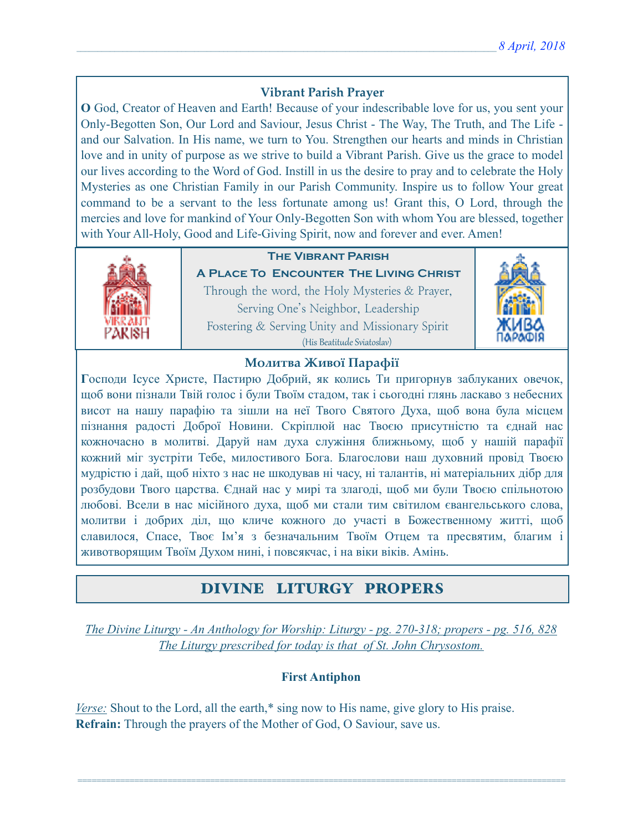### **Vibrant Parish Prayer**

**O** God, Creator of Heaven and Earth! Because of your indescribable love for us, you sent your Only-Begotten Son, Our Lord and Saviour, Jesus Christ - The Way, The Truth, and The Life and our Salvation. In His name, we turn to You. Strengthen our hearts and minds in Christian love and in unity of purpose as we strive to build a Vibrant Parish. Give us the grace to model our lives according to the Word of God. Instill in us the desire to pray and to celebrate the Holy Mysteries as one Christian Family in our Parish Community. Inspire us to follow Your great command to be a servant to the less fortunate among us! Grant this, O Lord, through the mercies and love for mankind of Your Only-Begotten Son with whom You are blessed, together with Your All-Holy, Good and Life-Giving Spirit, now and forever and ever. Amen!



## **The Vibrant Parish**

**A Place To Encounter The Living Christ** Through the word, the Holy Mysteries & Prayer, Serving One's Neighbor, Leadership Fostering & Serving Unity and Missionary Spirit (His Beatitude Sviatoslav)



#### **Молитва Живої Парафії**

**Г**осподи Ісусе Христе, Пастирю Добрий, як колись Ти пригорнув заблуканих овечок, щоб вони пізнали Твій голос і були Твоїм стадом, так і сьогодні глянь ласкаво з небесних висот на нашу парафію та зішли на неї Твого Святого Духа, щоб вона була місцем пізнання радості Доброї Новини. Скріплюй нас Твоєю присутністю та єднай нас кожночасно в молитві. Даруй нам духа служіння ближньому, щоб у нашій парафії кожний міг зустріти Тебе, милостивого Бога. Благослови наш духовний провід Твоєю мудрістю і дай, щоб ніхто з нас не шкодував ні часу, ні талантів, ні матеріальних дібр для розбудови Твого царства. Єднай нас у мирі та злагоді, щоб ми були Твоєю спільнотою любові. Всели в нас місійного духа, щоб ми стали тим світилом євангельського слова, молитви і добрих діл, що кличе кожного до участі в Божественному житті, щоб славилося, Спасе, Твоє Ім'я з безначальним Твоїм Отцем та пресвятим, благим і животворящим Твоїм Духом нині, і повсякчас, і на віки віків. Амінь.

## DIVINE LITURGY PROPERS

*The Divine Liturgy - An Anthology for Worship: Liturgy - pg. 270-318; propers - pg. 516, 828 The Liturgy prescribed for today is that of St. John Chrysostom.* 

#### **First Antiphon**

=======================================================================================================

*Verse:* Shout to the Lord, all the earth,\* sing now to His name, give glory to His praise. **Refrain:** Through the prayers of the Mother of God, O Saviour, save us.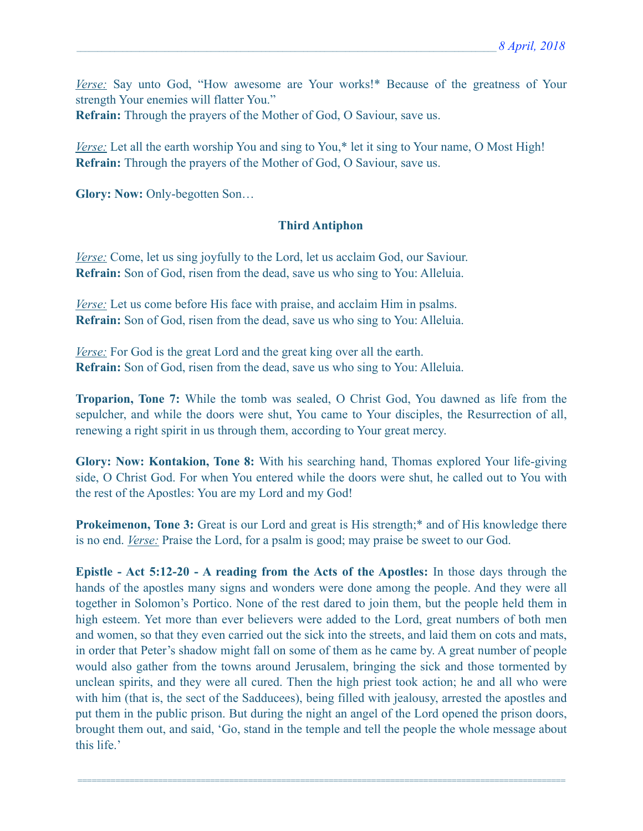*Verse:* Say unto God, "How awesome are Your works!\* Because of the greatness of Your strength Your enemies will flatter You." **Refrain:** Through the prayers of the Mother of God, O Saviour, save us.

*Verse:* Let all the earth worship You and sing to You,<sup>\*</sup> let it sing to Your name, O Most High! **Refrain:** Through the prayers of the Mother of God, O Saviour, save us.

**Glory: Now:** Only-begotten Son…

#### **Third Antiphon**

*<u>Verse:</u>* Come, let us sing joyfully to the Lord, let us acclaim God, our Saviour. **Refrain:** Son of God, risen from the dead, save us who sing to You: Alleluia.

*<u>Verse:</u>* Let us come before His face with praise, and acclaim Him in psalms. **Refrain:** Son of God, risen from the dead, save us who sing to You: Alleluia.

*Verse:* For God is the great Lord and the great king over all the earth. **Refrain:** Son of God, risen from the dead, save us who sing to You: Alleluia.

**Troparion, Tone 7:** While the tomb was sealed, O Christ God, You dawned as life from the sepulcher, and while the doors were shut, You came to Your disciples, the Resurrection of all, renewing a right spirit in us through them, according to Your great mercy.

**Glory: Now: Kontakion, Tone 8:** With his searching hand, Thomas explored Your life-giving side, O Christ God. For when You entered while the doors were shut, he called out to You with the rest of the Apostles: You are my Lord and my God!

**Prokeimenon, Tone 3:** Great is our Lord and great is His strength;<sup>\*</sup> and of His knowledge there is no end. *Verse:* Praise the Lord, for a psalm is good; may praise be sweet to our God.

**Epistle - Act 5:12-20 - A reading from the Acts of the Apostles:** In those days through the hands of the apostles many signs and wonders were done among the people. And they were all together in Solomon's Portico. None of the rest dared to join them, but the people held them in high esteem. Yet more than ever believers were added to the Lord, great numbers of both men and women, so that they even carried out the sick into the streets, and laid them on cots and mats, in order that Peter's shadow might fall on some of them as he came by. A great number of people would also gather from the towns around Jerusalem, bringing the sick and those tormented by unclean spirits, and they were all cured. Then the high priest took action; he and all who were with him (that is, the sect of the Sadducees), being filled with jealousy, arrested the apostles and put them in the public prison. But during the night an angel of the Lord opened the prison doors, brought them out, and said, 'Go, stand in the temple and tell the people the whole message about this life.'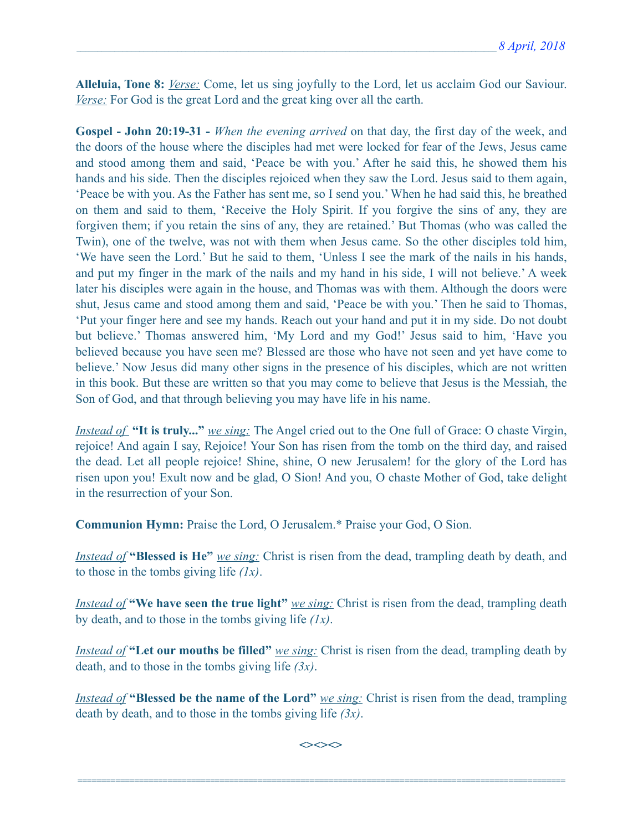**Alleluia, Tone 8:** *Verse:* Come, let us sing joyfully to the Lord, let us acclaim God our Saviour. *Verse:* For God is the great Lord and the great king over all the earth.

**Gospel - John 20:19-31 -** *When the evening arrived* on that day, the first day of the week, and the doors of the house where the disciples had met were locked for fear of the Jews, Jesus came and stood among them and said, 'Peace be with you.' After he said this, he showed them his hands and his side. Then the disciples rejoiced when they saw the Lord. Jesus said to them again, 'Peace be with you. As the Father has sent me, so I send you.' When he had said this, he breathed on them and said to them, 'Receive the Holy Spirit. If you forgive the sins of any, they are forgiven them; if you retain the sins of any, they are retained.' But Thomas (who was called the Twin), one of the twelve, was not with them when Jesus came. So the other disciples told him, 'We have seen the Lord.' But he said to them, 'Unless I see the mark of the nails in his hands, and put my finger in the mark of the nails and my hand in his side, I will not believe.' A week later his disciples were again in the house, and Thomas was with them. Although the doors were shut, Jesus came and stood among them and said, 'Peace be with you.' Then he said to Thomas, 'Put your finger here and see my hands. Reach out your hand and put it in my side. Do not doubt but believe.' Thomas answered him, 'My Lord and my God!' Jesus said to him, 'Have you believed because you have seen me? Blessed are those who have not seen and yet have come to believe.' Now Jesus did many other signs in the presence of his disciples, which are not written in this book. But these are written so that you may come to believe that Jesus is the Messiah, the Son of God, and that through believing you may have life in his name.

*Instead of* **"It is truly..."** *we sing:* The Angel cried out to the One full of Grace: O chaste Virgin, rejoice! And again I say, Rejoice! Your Son has risen from the tomb on the third day, and raised the dead. Let all people rejoice! Shine, shine, O new Jerusalem! for the glory of the Lord has risen upon you! Exult now and be glad, O Sion! And you, O chaste Mother of God, take delight in the resurrection of your Son.

**Communion Hymn:** Praise the Lord, O Jerusalem.\* Praise your God, O Sion.

*Instead of* **"Blessed is He"** *we sing:* Christ is risen from the dead, trampling death by death, and to those in the tombs giving life *(1x)*.

*Instead of* **"We have seen the true light"** *we sing:* Christ is risen from the dead, trampling death by death, and to those in the tombs giving life *(1x)*.

*Instead of* **"Let our mouths be filled"** *we sing:* Christ is risen from the dead, trampling death by death, and to those in the tombs giving life *(3x)*.

*Instead of* **"Blessed be the name of the Lord"** *we sing:* Christ is risen from the dead, trampling death by death, and to those in the tombs giving life *(3x)*.

**<><><>**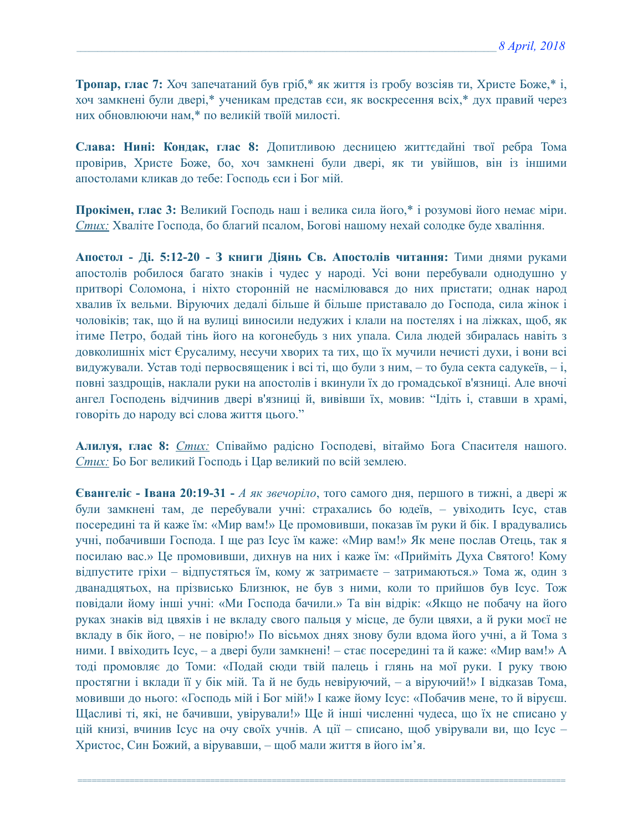**Тропар, глас 7:** Хоч запечатаний був гріб,\* як життя із гробу возсіяв ти, Христе Боже,\* і, хоч замкнені були двері,\* ученикам представ єси, як воскресення всіх,\* дух правий через них обновлюючи нам,\* по великій твоїй милості.

**Слава: Нині: Кондак, глас 8:** Допитливою десницею життєдайні твої ребра Тома провірив, Христе Боже, бо, хоч замкнені були двері, як ти увійшов, він із іншими апостолами кликав до тебе: Господь єси і Бог мій.

**Прокімен, глас 3:** Великий Господь наш і велика сила його,\* і розумові його немає міри. *Стих:* Хваліте Господа, бо благий псалом, Богові нашому нехай солодке буде хваління.

**Апостол - Ді. 5:12-20 - З книги Діянь Св. Апостолів читання:** Тими днями руками апостолів робилося багато знаків і чудес у народі. Усі вони перебували однодушно у притворі Соломона, і ніхто сторонній не насмілювався до них пристати; однак народ хвалив їх вельми. Віруючих дедалі більше й більше приставало до Господа, сила жінок і чоловіків; так, що й на вулиці виносили недужих і клали на постелях і на ліжках, щоб, як ітиме Петро, бодай тінь його на когонебудь з них упала. Сила людей збиралась навіть з довколишніх міст Єрусалиму, несучи хворих та тих, що їх мучили нечисті духи, і вони всі видужували. Устав тоді первосвященик і всі ті, що були з ним, – то була секта садукеїв, – і, повні заздрощів, наклали руки на апостолів і вкинули їх до громадської в'язниці. Але вночі ангел Господень відчинив двері в'язниці й, вивівши їх, мовив: "Ідіть і, ставши в храмі, говоріть до народу всі слова життя цього."

**Алилуя, глас 8:** *Стих:* Cпіваймо радісно Господеві, вітаймо Бога Спасителя нашого. *Стих:* Бо Бог великий Господь і Цар великий по всій землею.

**Євангеліє - Івана 20:19-31 -** *А як звечоріло*, того самого дня, першого в тижні, а двері ж були замкнені там, де перебували учні: страхались бо юдеїв, – увіходить Ісус, став посередині та й каже їм: «Мир вам!» Це промовивши, показав їм руки й бік. І врадувались учні, побачивши Господа. І ще раз Ісус їм каже: «Мир вам!» Як мене послав Отець, так я посилаю вас.» Це промовивши, дихнув на них і каже їм: «Прийміть Духа Святого! Кому відпустите гріхи – відпустяться їм, кому ж затримаєте – затримаються.» Тома ж, один з дванадцятьох, на прізвисько Близнюк, не був з ними, коли то прийшов був Ісус. Тож повідали йому інші учні: «Ми Господа бачили.» Та він відрік: «Якщо не побачу на його руках знаків від цвяхів і не вкладу свого пальця у місце, де були цвяхи, а й руки моєї не вкладу в бік його, – не повірю!» По вісьмох днях знову були вдома його учні, а й Тома з ними. І ввіходить Ісус, – а двері були замкнені! – стає посередині та й каже: «Мир вам!» А тоді промовляє до Томи: «Подай сюди твій палець і глянь на мої руки. І руку твою простягни і вклади її у бік мій. Та й не будь невіруючий, – а віруючий!» І відказав Тома, мовивши до нього: «Господь мій і Бог мій!» І каже йому Ісус: «Побачив мене, то й віруєш. Щасливі ті, які, не бачивши, увірували!» Ще й інші численні чудеса, що їх не списано у цій книзі, вчинив Ісус на очу своїх учнів. А ції – списано, щоб увірували ви, що Ісус – Христос, Син Божий, а вірувавши, – щоб мали життя в його ім'я.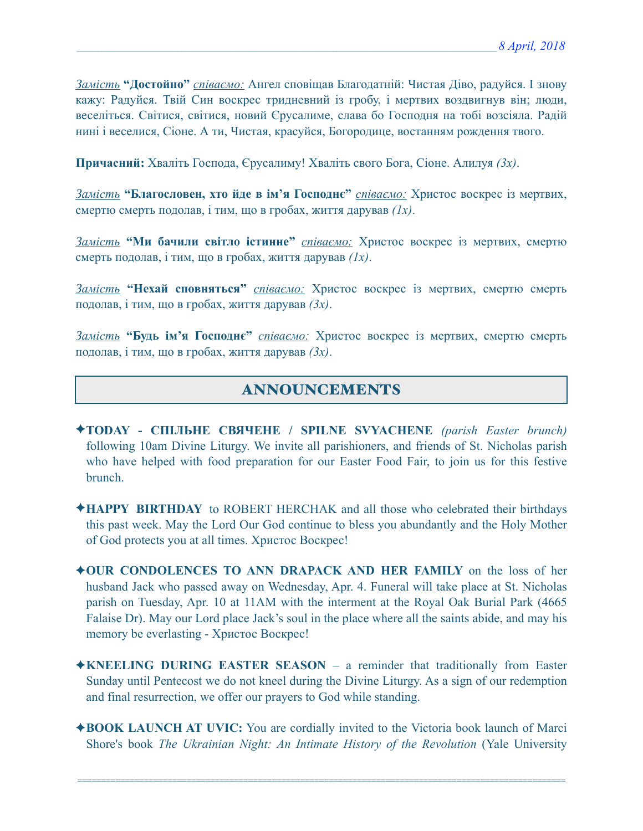*Замість* **"Достойно"** *співаємо:* Ангел сповіщав Благодатній: Чистая Діво, радуйся. І знову кажу: Радуйся. Твій Син воскрес тридневний із гробу, і мертвих воздвигнув він; люди, веселіться. Світися, світися, новий Єрусалиме, слава бо Господня на тобі возсіяла. Радій нині і веселися, Сіоне. А ти, Чистая, красуйся, Богородице, востанням рождення твого.

**Причасний:** Хваліть Господа, Єрусалиму! Хваліть свого Бога, Сіоне. Алилуя *(3x)*.

*Замість* **"Благословен, хто йде в ім'я Господнє"** *співаємо:* Христос воскрес із мертвих, смертю смерть подолав, і тим, що в гробах, життя дарував *(1x)*.

*Замість* **"Ми бачили світло істинне"** *співаємо:* Христос воскрес із мертвих, смертю смерть подолав, і тим, що в гробах, життя дарував *(1x)*.

*Замість* **"Нехай сповняться"** *співаємо:* Христос воскрес із мертвих, смертю смерть подолав, і тим, що в гробах, життя дарував *(3x)*.

*Замість* **"Будь ім'я Господнє"** *співаємо:* Христос воскрес із мертвих, смертю смерть подолав, і тим, що в гробах, життя дарував *(3x)*.

## ANNOUNCEMENTS

- ✦**TODAY СПІЛЬНЕ СВЯЧЕНЕ / SPILNE SVYACHENE** *(parish Easter brunch)*  following 10am Divine Liturgy. We invite all parishioners, and friends of St. Nicholas parish who have helped with food preparation for our Easter Food Fair, to join us for this festive brunch.
- ✦**HAPPY BIRTHDAY** to ROBERT HERCHAK and all those who celebrated their birthdays this past week. May the Lord Our God continue to bless you abundantly and the Holy Mother of God protects you at all times. Христос Воскрес!
- ✦**OUR CONDOLENCES TO ANN DRAPACK AND HER FAMILY** on the loss of her husband Jack who passed away on Wednesday, Apr. 4. Funeral will take place at St. Nicholas parish on Tuesday, Apr. 10 at 11AM with the interment at the Royal Oak Burial Park (4665 Falaise Dr). May our Lord place Jack's soul in the place where all the saints abide, and may his memory be everlasting - Христос Воскрес!
- ✦**KNEELING DURING EASTER SEASON**  a reminder that traditionally from Easter Sunday until Pentecost we do not kneel during the Divine Liturgy. As a sign of our redemption and final resurrection, we offer our prayers to God while standing.
- ✦**BOOK LAUNCH AT UVIC:** You are cordially invited to the Victoria book launch of Marci Shore's book *The Ukrainian Night: An Intimate History of the Revolution* (Yale University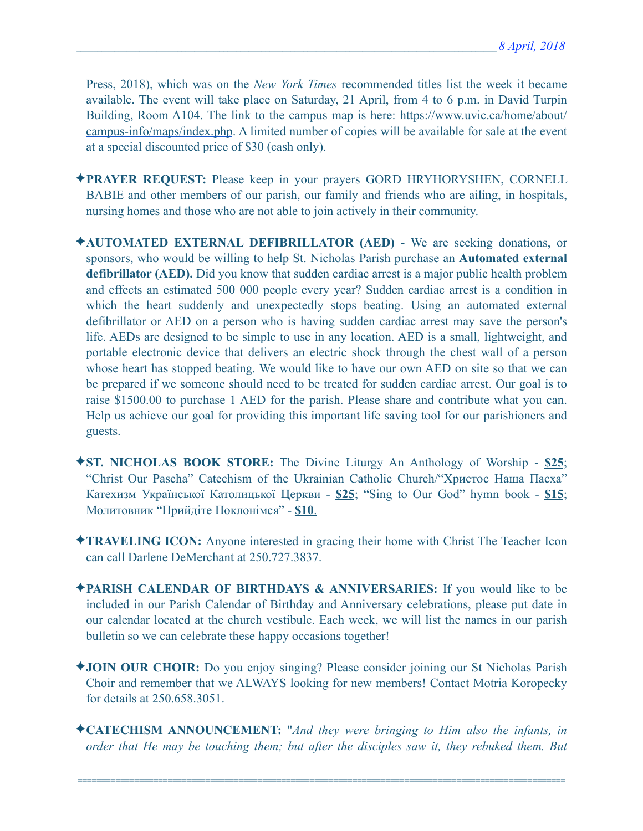Press, 2018), which was on the *New York Times* recommended titles list the week it became available. The event will take place on Saturday, 21 April, from 4 to 6 p.m. in David Turpin Building, Room A104. The link to the campus map is here: [https://www.uvic.ca/home/about/](https://www.uvic.ca/home/about/campus-info/maps/index.php) [campus-info/maps/index.php](https://www.uvic.ca/home/about/campus-info/maps/index.php). A limited number of copies will be available for sale at the event at a special discounted price of \$30 (cash only).

- ✦**PRAYER REQUEST:** Please keep in your prayers GORD HRYHORYSHEN, CORNELL BABIE and other members of our parish, our family and friends who are ailing, in hospitals, nursing homes and those who are not able to join actively in their community.
- ✦**AUTOMATED EXTERNAL DEFIBRILLATOR (AED)** We are seeking donations, or sponsors, who would be willing to help St. Nicholas Parish purchase an **Automated external defibrillator (AED).** Did you know that sudden cardiac arrest is a major public health problem and effects an estimated 500 000 people every year? Sudden cardiac arrest is a condition in which the heart suddenly and unexpectedly stops beating. Using an automated external defibrillator or AED on a person who is having sudden cardiac arrest may save the person's life. AEDs are designed to be simple to use in any location. AED is a small, lightweight, and portable electronic device that delivers an electric shock through the chest wall of a person whose heart has stopped beating. We would like to have our own AED on site so that we can be prepared if we someone should need to be treated for sudden cardiac arrest. Our goal is to raise \$1500.00 to purchase 1 AED for the parish. Please share and contribute what you can. Help us achieve our goal for providing this important life saving tool for our parishioners and guests.
- ✦**ST. NICHOLAS BOOK STORE:** The Divine Liturgy An Anthology of Worship **\$25**; "Christ Our Pascha" Catechism of the Ukrainian Catholic Church/"Христос Наша Пасха" Катехизм Української Католицької Церкви - **\$25**; "Sing to Our God" hymn book - **\$15**; Молитовник "Прийдіте Поклонімся" - **\$10**.
- ✦**TRAVELING ICON:** Anyone interested in gracing their home with Christ The Teacher Icon can call Darlene DeMerchant at 250.727.3837.
- ✦**PARISH CALENDAR OF BIRTHDAYS & ANNIVERSARIES:** If you would like to be included in our Parish Calendar of Birthday and Anniversary celebrations, please put date in our calendar located at the church vestibule. Each week, we will list the names in our parish bulletin so we can celebrate these happy occasions together!
- ✦**JOIN OUR CHOIR:** Do you enjoy singing? Please consider joining our St Nicholas Parish Choir and remember that we ALWAYS looking for new members! Contact Motria Koropecky for details at 250.658.3051.
- ✦**CATECHISM ANNOUNCEMENT:** "*And they were bringing to Him also the infants, in order that He may be touching them; but after the disciples saw it, they rebuked them. But*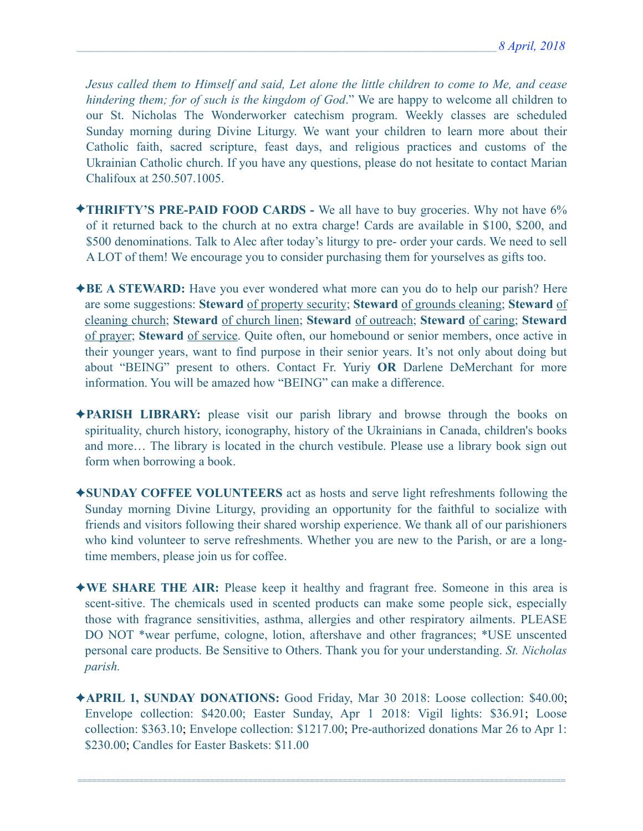*Jesus called them to Himself and said, Let alone the little children to come to Me, and cease hindering them; for of such is the kingdom of God*." We are happy to welcome all children to our St. Nicholas The Wonderworker catechism program. Weekly classes are scheduled Sunday morning during Divine Liturgy. We want your children to learn more about their Catholic faith, sacred scripture, feast days, and religious practices and customs of the Ukrainian Catholic church. If you have any questions, please do not hesitate to contact Marian Chalifoux at 250.507.1005.

- ✦**THRIFTY'S PRE-PAID FOOD CARDS** We all have to buy groceries. Why not have 6% of it returned back to the church at no extra charge! Cards are available in \$100, \$200, and \$500 denominations. Talk to Alec after today's liturgy to pre- order your cards. We need to sell A LOT of them! We encourage you to consider purchasing them for yourselves as gifts too.
- ✦**BE A STEWARD:** Have you ever wondered what more can you do to help our parish? Here are some suggestions: **Steward** of property security; **Steward** of grounds cleaning; **Steward** of cleaning church; **Steward** of church linen; **Steward** of outreach; **Steward** of caring; **Steward** of prayer; **Steward** of service. Quite often, our homebound or senior members, once active in their younger years, want to find purpose in their senior years. It's not only about doing but about "BEING" present to others. Contact Fr. Yuriy **OR** Darlene DeMerchant for more information. You will be amazed how "BEING" can make a difference.
- ✦**PARISH LIBRARY:** please visit our parish library and browse through the books on spirituality, church history, iconography, history of the Ukrainians in Canada, children's books and more… The library is located in the church vestibule. Please use a library book sign out form when borrowing a book.
- ✦**SUNDAY COFFEE VOLUNTEERS** act as hosts and serve light refreshments following the Sunday morning Divine Liturgy, providing an opportunity for the faithful to socialize with friends and visitors following their shared worship experience. We thank all of our parishioners who kind volunteer to serve refreshments. Whether you are new to the Parish, or are a longtime members, please join us for coffee.
- ✦**WE SHARE THE AIR:** Please keep it healthy and fragrant free. Someone in this area is scent-sitive. The chemicals used in scented products can make some people sick, especially those with fragrance sensitivities, asthma, allergies and other respiratory ailments. PLEASE DO NOT \*wear perfume, cologne, lotion, aftershave and other fragrances; \*USE unscented personal care products. Be Sensitive to Others. Thank you for your understanding. *St. Nicholas parish.*
- ✦**APRIL 1, SUNDAY DONATIONS:** Good Friday, Mar 30 2018: Loose collection: \$40.00; Envelope collection: \$420.00; Easter Sunday, Apr 1 2018: Vigil lights: \$36.91; Loose collection: \$363.10; Envelope collection: \$1217.00; Pre-authorized donations Mar 26 to Apr 1: \$230.00; Candles for Easter Baskets: \$11.00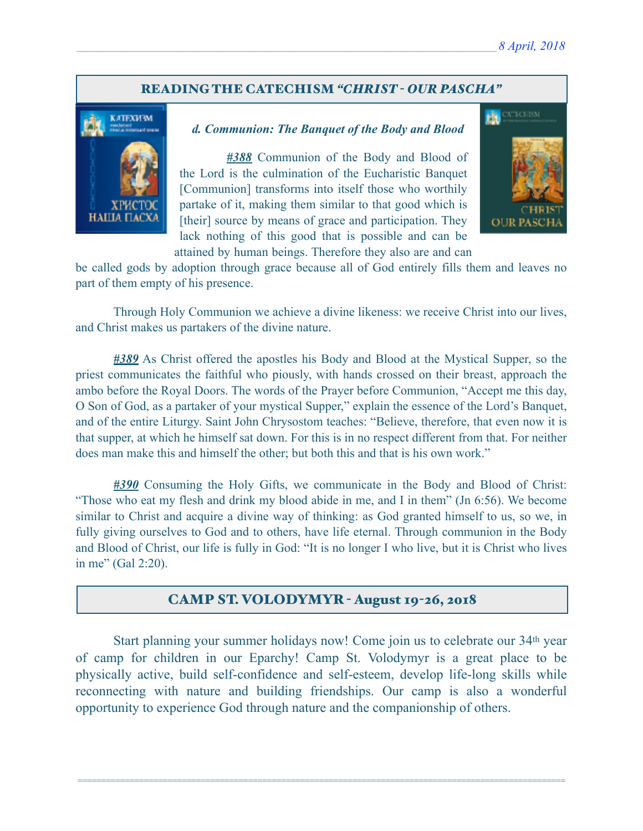#### READING THE CATECHISM *"CHRIST - OUR PASCHA"*



#### *d. Communion: The Banquet of the Body and Blood*

 *#388* Communion of the Body and Blood of the Lord is the culmination of the Eucharistic Banquet [Communion] transforms into itself those who worthily partake of it, making them similar to that good which is [their] source by means of grace and participation. They lack nothing of this good that is possible and can be attained by human beings. Therefore they also are and can



be called gods by adoption through grace because all of God entirely fills them and leaves no part of them empty of his presence.

 Through Holy Communion we achieve a divine likeness: we receive Christ into our lives, and Christ makes us partakers of the divine nature.

*#389* As Christ offered the apostles his Body and Blood at the Mystical Supper, so the priest communicates the faithful who piously, with hands crossed on their breast, approach the ambo before the Royal Doors. The words of the Prayer before Communion, "Accept me this day, O Son of God, as a partaker of your mystical Supper," explain the essence of the Lord's Banquet, and of the entire Liturgy. Saint John Chrysostom teaches: "Believe, therefore, that even now it is that supper, at which he himself sat down. For this is in no respect different from that. For neither does man make this and himself the other; but both this and that is his own work."

*#390* Consuming the Holy Gifts, we communicate in the Body and Blood of Christ: "Those who eat my flesh and drink my blood abide in me, and I in them" (Jn 6:56). We become similar to Christ and acquire a divine way of thinking: as God granted himself to us, so we, in fully giving ourselves to God and to others, have life eternal. Through communion in the Body and Blood of Christ, our life is fully in God: "It is no longer I who live, but it is Christ who lives in me" (Gal 2:20).

#### CAMP ST. VOLODYMYR - August 19-26, 2018

 Start planning your summer holidays now! Come join us to celebrate our 34th year of camp for children in our Eparchy! Camp St. Volodymyr is a great place to be physically active, build self-confidence and self-esteem, develop life-long skills while reconnecting with nature and building friendships. Our camp is also a wonderful opportunity to experience God through nature and the companionship of others.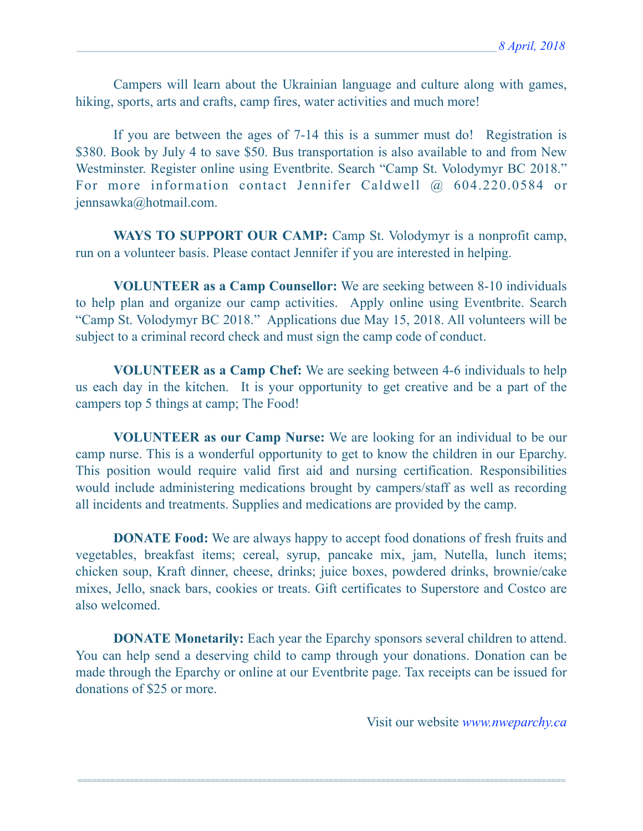Campers will learn about the Ukrainian language and culture along with games, hiking, sports, arts and crafts, camp fires, water activities and much more!

 If you are between the ages of 7-14 this is a summer must do! Registration is \$380. Book by July 4 to save \$50. Bus transportation is also available to and from New Westminster. Register online using Eventbrite. Search "Camp St. Volodymyr BC 2018." For more information contact Jennifer Caldwell @ 604.220.0584 or [jennsawka@hotmail.com](mailto:jennsawka@hotmail.com).

WAYS TO SUPPORT OUR CAMP: Camp St. Volodymyr is a nonprofit camp, run on a volunteer basis. Please contact Jennifer if you are interested in helping.

**VOLUNTEER as a Camp Counsellor:** We are seeking between 8-10 individuals to help plan and organize our camp activities. Apply online using Eventbrite. Search "Camp St. Volodymyr BC 2018." Applications due May 15, 2018. All volunteers will be subject to a criminal record check and must sign the camp code of conduct.

**VOLUNTEER as a Camp Chef:** We are seeking between 4-6 individuals to help us each day in the kitchen. It is your opportunity to get creative and be a part of the campers top 5 things at camp; The Food!

**VOLUNTEER as our Camp Nurse:** We are looking for an individual to be our camp nurse. This is a wonderful opportunity to get to know the children in our Eparchy. This position would require valid first aid and nursing certification. Responsibilities would include administering medications brought by campers/staff as well as recording all incidents and treatments. Supplies and medications are provided by the camp.

**DONATE Food:** We are always happy to accept food donations of fresh fruits and vegetables, breakfast items; cereal, syrup, pancake mix, jam, Nutella, lunch items; chicken soup, Kraft dinner, cheese, drinks; juice boxes, powdered drinks, brownie/cake mixes, Jello, snack bars, cookies or treats. Gift certificates to Superstore and Costco are also welcomed.

**DONATE Monetarily:** Each year the Eparchy sponsors several children to attend. You can help send a deserving child to camp through your donations. Donation can be made through the Eparchy or online at our Eventbrite page. Tax receipts can be issued for donations of \$25 or more.

=======================================================================================================

Visit our website *[www.nweparchy.ca](http://www.nweparchy.ca)*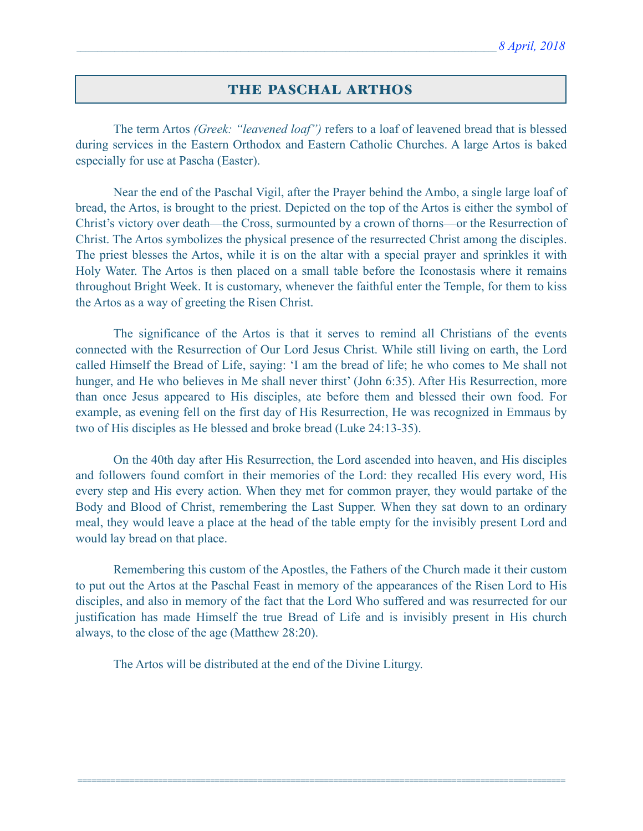#### THE PASCHAL ARTHOS

The term Artos *(Greek: "leavened loaf")* refers to a loaf of leavened bread that is blessed during services in the Eastern Orthodox and Eastern Catholic Churches. A large Artos is baked especially for use at Pascha (Easter).

 Near the end of the Paschal Vigil, after the Prayer behind the Ambo, a single large loaf of bread, the Artos, is brought to the priest. Depicted on the top of the Artos is either the symbol of Christ's victory over death—the Cross, surmounted by a crown of thorns—or the Resurrection of Christ. The Artos symbolizes the physical presence of the resurrected Christ among the disciples. The priest blesses the Artos, while it is on the altar with a special prayer and sprinkles it with Holy Water. The Artos is then placed on a small table before the Iconostasis where it remains throughout Bright Week. It is customary, whenever the faithful enter the Temple, for them to kiss the Artos as a way of greeting the Risen Christ.

 The significance of the Artos is that it serves to remind all Christians of the events connected with the Resurrection of Our Lord Jesus Christ. While still living on earth, the Lord called Himself the Bread of Life, saying: 'I am the bread of life; he who comes to Me shall not hunger, and He who believes in Me shall never thirst' (John 6:35). After His Resurrection, more than once Jesus appeared to His disciples, ate before them and blessed their own food. For example, as evening fell on the first day of His Resurrection, He was recognized in Emmaus by two of His disciples as He blessed and broke bread (Luke 24:13-35).

 On the 40th day after His Resurrection, the Lord ascended into heaven, and His disciples and followers found comfort in their memories of the Lord: they recalled His every word, His every step and His every action. When they met for common prayer, they would partake of the Body and Blood of Christ, remembering the Last Supper. When they sat down to an ordinary meal, they would leave a place at the head of the table empty for the invisibly present Lord and would lay bread on that place.

 Remembering this custom of the Apostles, the Fathers of the Church made it their custom to put out the Artos at the Paschal Feast in memory of the appearances of the Risen Lord to His disciples, and also in memory of the fact that the Lord Who suffered and was resurrected for our justification has made Himself the true Bread of Life and is invisibly present in His church always, to the close of the age (Matthew 28:20).

=======================================================================================================

The Artos will be distributed at the end of the Divine Liturgy.